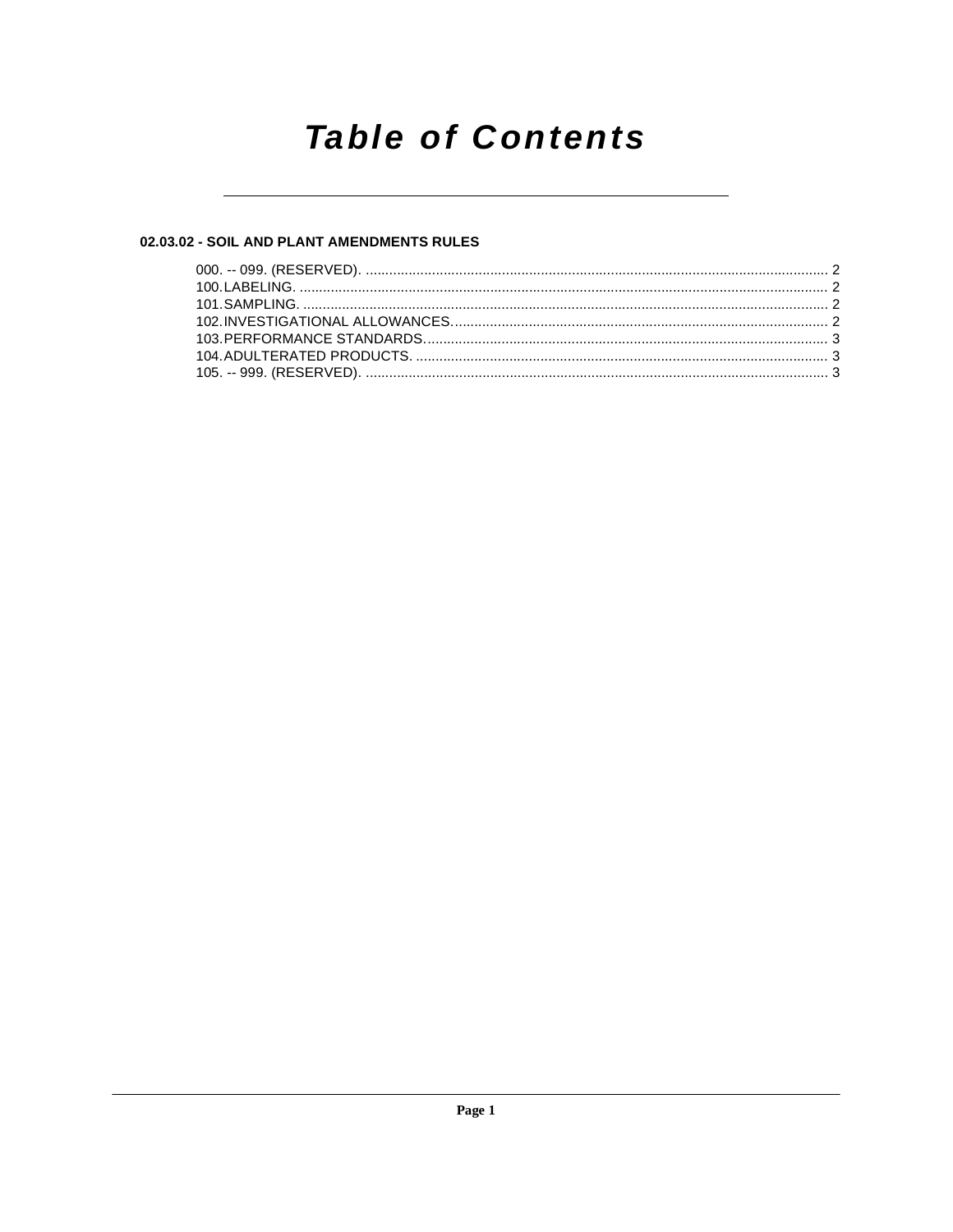# **Table of Contents**

# 02.03.02 - SOIL AND PLANT AMENDMENTS RULES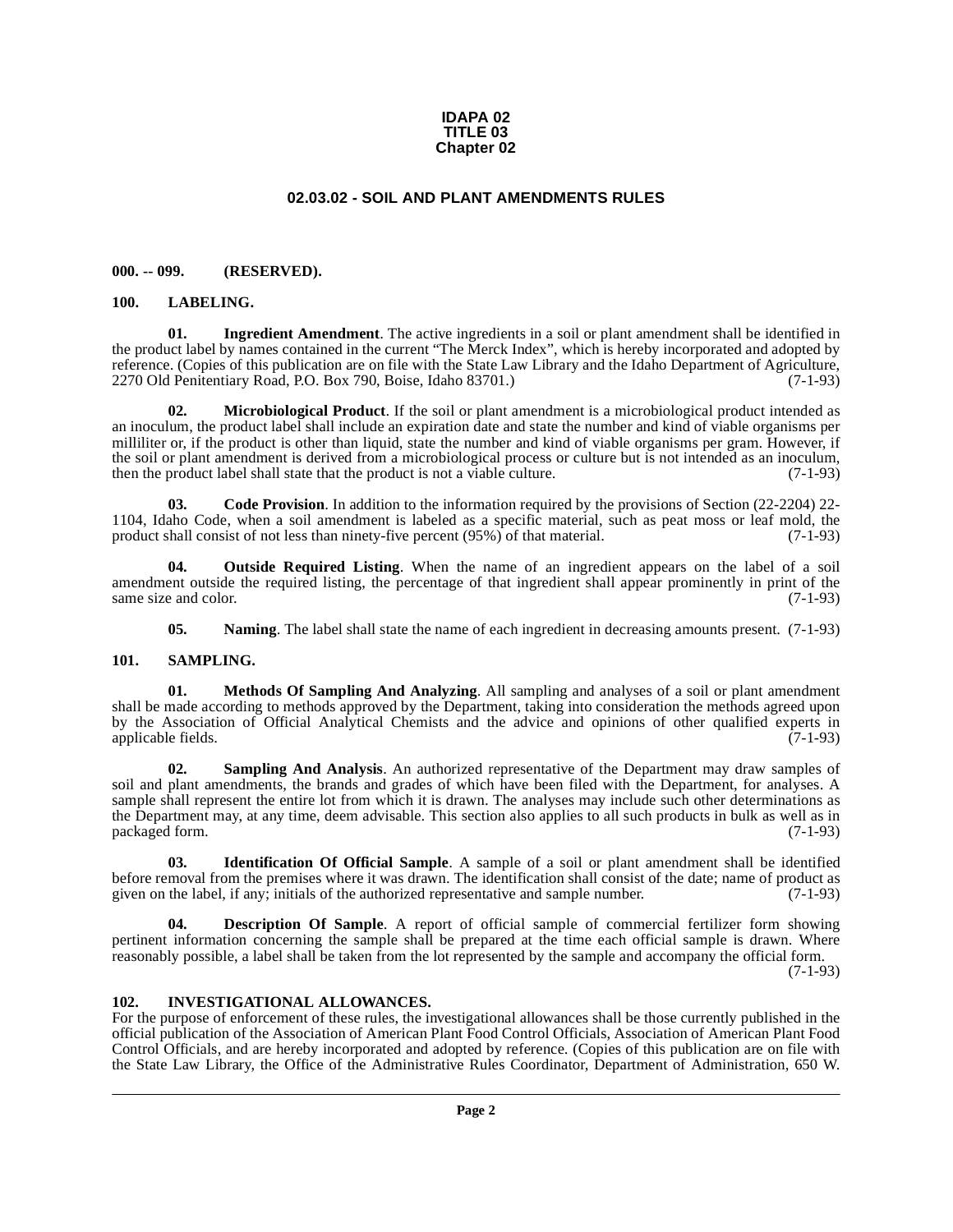#### **IDAPA 02 TITLE 03 Chapter 02**

# **02.03.02 - SOIL AND PLANT AMENDMENTS RULES**

## <span id="page-1-1"></span><span id="page-1-0"></span>**000. -- 099. (RESERVED).**

#### <span id="page-1-10"></span><span id="page-1-2"></span>**100. LABELING.**

<span id="page-1-8"></span>**01. Ingredient Amendment**. The active ingredients in a soil or plant amendment shall be identified in the product label by names contained in the current "The Merck Index", which is hereby incorporated and adopted by reference. (Copies of this publication are on file with the State Law Library and the Idaho Department of Agriculture, 2270 Old Penitentiary Road, P.O. Box 790, Boise, Idaho 83701.) (7-1-93)

<span id="page-1-12"></span>**02. Microbiological Product**. If the soil or plant amendment is a microbiological product intended as an inoculum, the product label shall include an expiration date and state the number and kind of viable organisms per milliliter or, if the product is other than liquid, state the number and kind of viable organisms per gram. However, if the soil or plant amendment is derived from a microbiological process or culture but is not intended as an inoculum, then the product label shall state that the product is not a viable culture. (7-1-93) then the product label shall state that the product is not a viable culture.

<span id="page-1-5"></span>**03. Code Provision**. In addition to the information required by the provisions of Section (22-2204) 22- 1104, Idaho Code, when a soil amendment is labeled as a specific material, such as peat moss or leaf mold, the product shall consist of not less than ninety-five percent (95%) of that material. (7-1-93) product shall consist of not less than ninety-five percent (95%) of that material.

**04. Outside Required Listing**. When the name of an ingredient appears on the label of a soil amendment outside the required listing, the percentage of that ingredient shall appear prominently in print of the same size and color. (7-1-93) same size and color.

<span id="page-1-16"></span><span id="page-1-14"></span><span id="page-1-13"></span><span id="page-1-11"></span>**05.** Naming. The label shall state the name of each ingredient in decreasing amounts present. (7-1-93)

#### <span id="page-1-3"></span>**101. SAMPLING.**

**01. Methods Of Sampling And Analyzing**. All sampling and analyses of a soil or plant amendment shall be made according to methods approved by the Department, taking into consideration the methods agreed upon by the Association of Official Analytical Chemists and the advice and opinions of other qualified experts in applicable fields. (7-1-93)

<span id="page-1-15"></span>**02. Sampling And Analysis**. An authorized representative of the Department may draw samples of soil and plant amendments, the brands and grades of which have been filed with the Department, for analyses. A sample shall represent the entire lot from which it is drawn. The analyses may include such other determinations as the Department may, at any time, deem advisable. This section also applies to all such products in bulk as well as in packaged form. (7-1-93) packaged form.

<span id="page-1-7"></span>**03. Identification Of Official Sample**. A sample of a soil or plant amendment shall be identified before removal from the premises where it was drawn. The identification shall consist of the date; name of product as given on the label, if any; initials of the authorized representative and sample number. (7-1-93)

<span id="page-1-6"></span>**04. Description Of Sample**. A report of official sample of commercial fertilizer form showing pertinent information concerning the sample shall be prepared at the time each official sample is drawn. Where reasonably possible, a label shall be taken from the lot represented by the sample and accompany the official form.

(7-1-93)

#### <span id="page-1-9"></span><span id="page-1-4"></span>**102. INVESTIGATIONAL ALLOWANCES.**

For the purpose of enforcement of these rules, the investigational allowances shall be those currently published in the official publication of the Association of American Plant Food Control Officials, Association of American Plant Food Control Officials, and are hereby incorporated and adopted by reference. (Copies of this publication are on file with the State Law Library, the Office of the Administrative Rules Coordinator, Department of Administration, 650 W.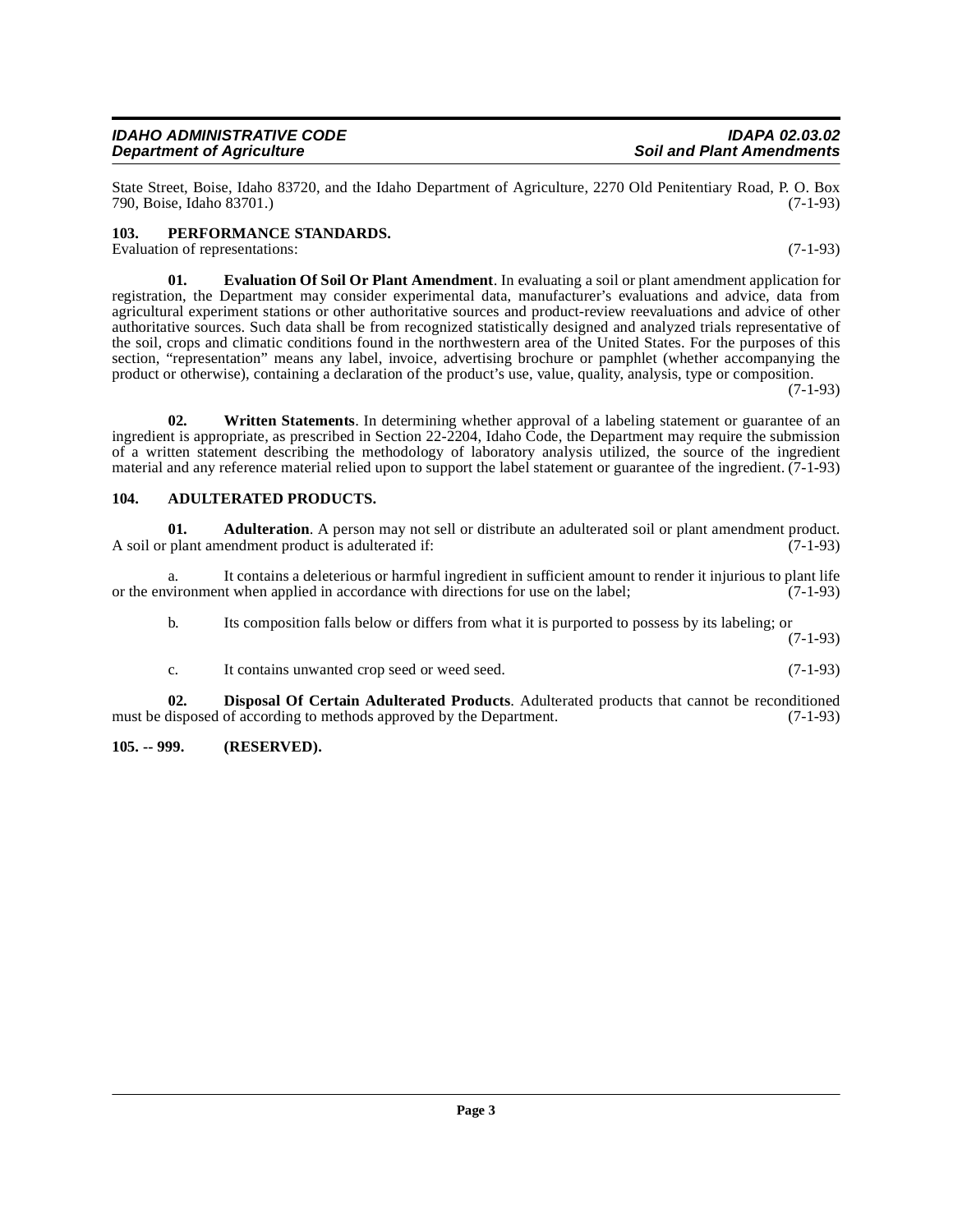State Street, Boise, Idaho 83720, and the Idaho Department of Agriculture, 2270 Old Penitentiary Road, P. O. Box 790, Boise, Idaho 83701.)

# <span id="page-2-7"></span><span id="page-2-0"></span>**103. PERFORMANCE STANDARDS.**

Evaluation of representations: (7-1-93)

**Department of Agriculture** 

<span id="page-2-6"></span>**01. Evaluation Of Soil Or Plant Amendment**. In evaluating a soil or plant amendment application for registration, the Department may consider experimental data, manufacturer's evaluations and advice, data from agricultural experiment stations or other authoritative sources and product-review reevaluations and advice of other authoritative sources. Such data shall be from recognized statistically designed and analyzed trials representative of the soil, crops and climatic conditions found in the northwestern area of the United States. For the purposes of this section, "representation" means any label, invoice, advertising brochure or pamphlet (whether accompanying the product or otherwise), containing a declaration of the product's use, value, quality, analysis, type or composition.

(7-1-93)

<span id="page-2-8"></span>**02. Written Statements**. In determining whether approval of a labeling statement or guarantee of an ingredient is appropriate, as prescribed in Section 22-2204, Idaho Code, the Department may require the submission of a written statement describing the methodology of laboratory analysis utilized, the source of the ingredient material and any reference material relied upon to support the label statement or guarantee of the ingredient. (7-1-93)

## <span id="page-2-3"></span><span id="page-2-1"></span>**104. ADULTERATED PRODUCTS.**

<span id="page-2-4"></span>**01. Adulteration**. A person may not sell or distribute an adulterated soil or plant amendment product. plant amendment product is adulterated if: A soil or plant amendment product is adulterated if:

a. It contains a deleterious or harmful ingredient in sufficient amount to render it injurious to plant life vironment when applied in accordance with directions for use on the label; (7-1-93) or the environment when applied in accordance with directions for use on the label;

b. Its composition falls below or differs from what it is purported to possess by its labeling; or

(7-1-93)

<span id="page-2-5"></span>c. It contains unwanted crop seed or weed seed. (7-1-93)

**02. Disposal Of Certain Adulterated Products**. Adulterated products that cannot be reconditioned disposed of according to methods approved by the Department. (7-1-93) must be disposed of according to methods approved by the Department.

<span id="page-2-2"></span>**105. -- 999. (RESERVED).**